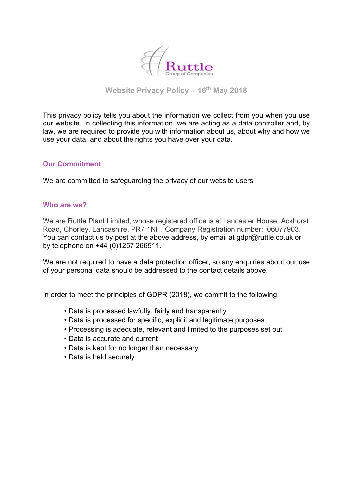

**Website Privacy Policy – 16th May 2018**

This privacy policy tells you about the information we collect from you when you use our website. In collecting this information, we are acting as a data controller and, by law, we are required to provide you with information about us, about why and how we use your data, and about the rights you have over your data.

### **Our Commitment**

We are committed to safeguarding the privacy of our website users

#### **Who are we?**

We are Ruttle Plant Limited, whose registered office is at Lancaster House, Ackhurst Road, Chorley, Lancashire, PR7 1NH. Company Registration number: 06077903. You can contact us by post at the above address, by email at gdpr@ruttle.co.uk or by telephone on +44 (0)1257 266511.

We are not required to have a data protection officer, so any enquiries about our use of your personal data should be addressed to the contact details above.

In order to meet the principles of GDPR (2018), we commit to the following:

- Data is processed lawfully, fairly and transparently
- Data is processed for specific, explicit and legitimate purposes
- Processing is adequate, relevant and limited to the purposes set out
- Data is accurate and current
- Data is kept for no longer than necessary
- Data is held securely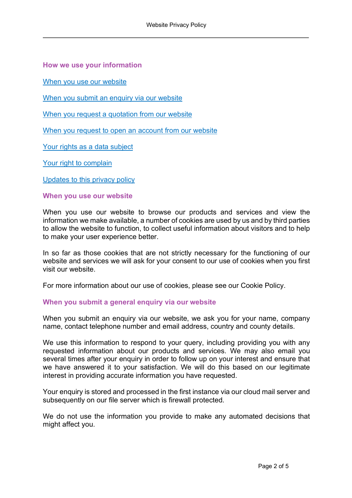**How we use your information**

When you use our website

When you submit an enquiry via our website

[When you request a quotation from our website](#page-2-0)

[When you request to open an account from our website](#page-2-0)

[Your rights as a data subject](#page-3-0)

[Your right to complain](#page-3-0)

[Updates to this privacy policy](#page-4-0)

**When you use our website**

When you use our website to browse our products and services and view the information we make available, a number of cookies are used by us and by third parties to allow the website to function, to collect useful information about visitors and to help to make your user experience better.

In so far as those cookies that are not strictly necessary for the functioning of our website and services we will ask for your consent to our use of cookies when you first visit our website.

For more information about our use of cookies, please see our Cookie Policy.

#### **When you submit a general enquiry via our website**

When you submit an enquiry via our website, we ask you for your name, company name, contact telephone number and email address, country and county details.

We use this information to respond to your query, including providing you with any requested information about our products and services. We may also email you several times after your enquiry in order to follow up on your interest and ensure that we have answered it to your satisfaction. We will do this based on our legitimate interest in providing accurate information you have requested.

Your enquiry is stored and processed in the first instance via our cloud mail server and subsequently on our file server which is firewall protected.

We do not use the information you provide to make any automated decisions that might affect you.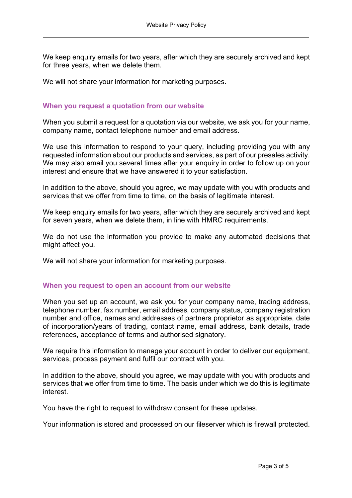<span id="page-2-0"></span>We keep enquiry emails for two years, after which they are securely archived and kept for three years, when we delete them.

We will not share your information for marketing purposes.

### **When you request a quotation from our website**

When you submit a request for a quotation via our website, we ask you for your name. company name, contact telephone number and email address.

We use this information to respond to your query, including providing you with any requested information about our products and services, as part of our presales activity. We may also email you several times after your enquiry in order to follow up on your interest and ensure that we have answered it to your satisfaction.

In addition to the above, should you agree, we may update with you with products and services that we offer from time to time, on the basis of legitimate interest.

We keep enquiry emails for two years, after which they are securely archived and kept for seven years, when we delete them, in line with HMRC requirements.

We do not use the information you provide to make any automated decisions that might affect you.

We will not share your information for marketing purposes.

### **When you request to open an account from our website**

When you set up an account, we ask you for your company name, trading address, telephone number, fax number, email address, company status, company registration number and office, names and addresses of partners proprietor as appropriate, date of incorporation/years of trading, contact name, email address, bank details, trade references, acceptance of terms and authorised signatory.

We require this information to manage your account in order to deliver our equipment, services, process payment and fulfil our contract with you.

In addition to the above, should you agree, we may update with you with products and services that we offer from time to time. The basis under which we do this is legitimate interest.

You have the right to request to withdraw consent for these updates.

Your information is stored and processed on our fileserver which is firewall protected.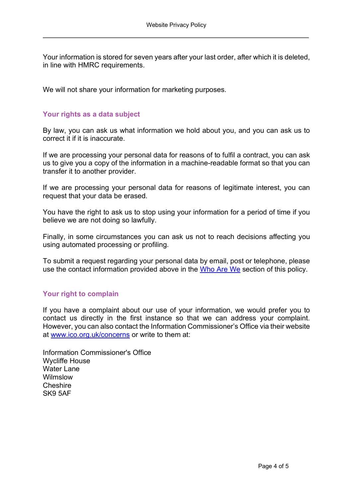<span id="page-3-0"></span>Your information is stored for seven years after your last order, after which it is deleted, in line with HMRC requirements.

We will not share your information for marketing purposes.

# **Your rights as a data subject**

By law, you can ask us what information we hold about you, and you can ask us to correct it if it is inaccurate.

If we are processing your personal data for reasons of to fulfil a contract, you can ask us to give you a copy of the information in a machine-readable format so that you can transfer it to another provider.

If we are processing your personal data for reasons of legitimate interest, you can request that your data be erased.

You have the right to ask us to stop using your information for a period of time if you believe we are not doing so lawfully.

Finally, in some circumstances you can ask us not to reach decisions affecting you using automated processing or profiling.

To submit a request regarding your personal data by email, post or telephone, please use the contact information provided above in the Who Are We section of this policy.

# **Your right to complain**

If you have a complaint about our use of your information, we would prefer you to contact us directly in the first instance so that we can address your complaint. However, you can also contact the Information Commissioner's Office via their website at www.ico.org.uk/concerns or write to them at:

Information Commissioner's Office Wycliffe House Water Lane Wilmslow Cheshire SK9 5AF